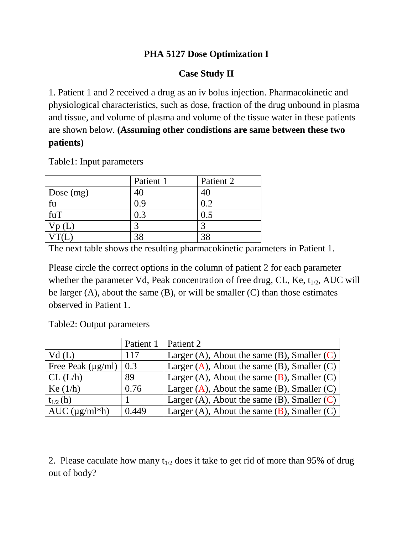## **PHA 5127 Dose Optimization I**

## **Case Study II**

1. Patient 1 and 2 received a drug as an iv bolus injection. Pharmacokinetic and physiological characteristics, such as dose, fraction of the drug unbound in plasma and tissue, and volume of plasma and volume of the tissue water in these patients are shown below. **(Assuming other condistions are same between these two patients)**

|                        | Patient 1 | Patient 2 |
|------------------------|-----------|-----------|
| $\vert$ Dose (mg)      |           |           |
|                        | 0.9       | $0.2\,$   |
| fuT                    | 0.3       |           |
| $\gamma_{\text{p}}(L)$ |           |           |
|                        |           | 2S        |

Table1: Input parameters

The next table shows the resulting pharmacokinetic parameters in Patient 1.

Please circle the correct options in the column of patient 2 for each parameter whether the parameter Vd, Peak concentration of free drug, CL, Ke,  $t_{1/2}$ , AUC will be larger  $(A)$ , about the same  $(B)$ , or will be smaller  $(C)$  than those estimates observed in Patient 1.

Table2: Output parameters

|                             | Patient 1 | Patient 2                                           |
|-----------------------------|-----------|-----------------------------------------------------|
| Vd(L)                       | 117       | Larger (A), About the same (B), Smaller $(C)$       |
| Free Peak $(\mu g/ml)$      | 0.3       | Larger $(A)$ , About the same $(B)$ , Smaller $(C)$ |
| CL (L/h)                    | 89        | Larger (A), About the same $(B)$ , Smaller $(C)$    |
| $\text{Ke}(1/h)$            | 0.76      | Larger $(A)$ , About the same $(B)$ , Smaller $(C)$ |
| $t_{1/2}$ (h)               |           | Larger (A), About the same (B), Smaller $(C)$       |
| $\vert$ AUC ( $\mu$ g/ml*h) | 0.449     | Larger (A), About the same $(B)$ , Smaller $(C)$    |

2. Please caculate how many  $t_{1/2}$  does it take to get rid of more than 95% of drug out of body?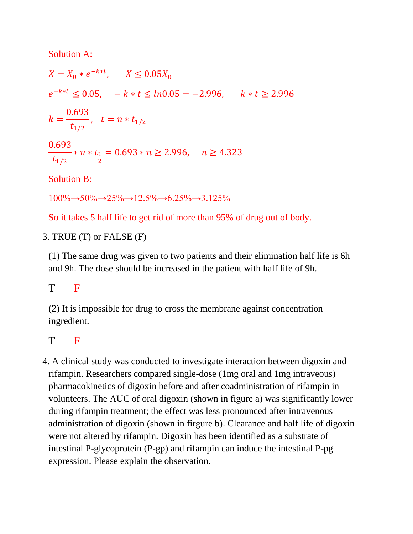Solution A:

 $X = X_0 * e^{-k * t},$  $e^ \boldsymbol{k}$  $\boldsymbol{0}$  $\bar{t}$ J  $\boldsymbol{0}$  $\bar{t}$  $\ast$  $\overline{2}$  $=$ Solution B:  $100\% \rightarrow 50\% \rightarrow 25\% \rightarrow 12.5\% \rightarrow 6.25\% \rightarrow 3.125\%$ 

So it takes 5 half life to get rid of more than 95% of drug out of body.

3. TRUE (T) or FALSE (F)

(1) The same drug was given to two patients and their elimination half life is 6h and 9h. The dose should be increased in the patient with half life of 9h.

## T F

(2) It is impossible for drug to cross the membrane against concentration ingredient.

## T F

4. A clinical study was conducted to investigate interaction between digoxin and rifampin. Researchers compared single-dose (1mg oral and 1mg intraveous) pharmacokinetics of digoxin before and after coadministration of rifampin in volunteers. The AUC of oral digoxin (shown in figure a) was significantly lower during rifampin treatment; the effect was less pronounced after intravenous administration of digoxin (shown in firgure b). Clearance and half life of digoxin were not altered by rifampin. Digoxin has been identified as a substrate of intestinal P-glycoprotein (P-gp) and rifampin can induce the intestinal P-pg expression. Please explain the observation.